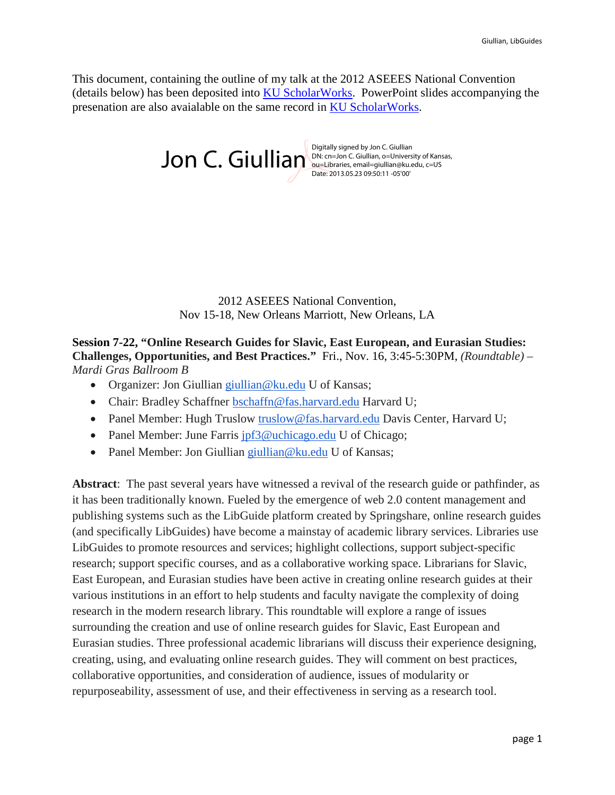This document, containing the outline of my talk at the 2012 ASEEES National Convention (details below) has been deposited into [KU ScholarWorks.](http://kuscholarworks.ku.edu/dspace/) PowerPoint slides accompanying the presenation are also avaialable on the same record in [KU ScholarWorks.](http://kuscholarworks.ku.edu/dspace/)

 $Jon C. Giullia<sub>D</sub> <sup>Digitally signed by Jon C. Giullian, o=Univers  
Quanti–gion C. Giullian, o=Univers.</sup>$ 

DN: cn=Jon C. Giullian, o=University of Kansas, ou=Libraries, email=giullian@ku.edu, c=US Date: 2013.05.23 09:50:11 -05'00'

2012 ASEEES National Convention, Nov 15-18, New Orleans Marriott, New Orleans, LA

**Session 7-22, "Online Research Guides for Slavic, East European, and Eurasian Studies: Challenges, Opportunities, and Best Practices."** Fri., Nov. 16, 3:45-5:30PM, *(Roundtable) – Mardi Gras Ballroom B*

- Organizer: Jon Giullian [giullian@ku.edu](mailto:giullian@ku.edu) U of Kansas;
- Chair: Bradley Schaffner [bschaffn@fas.harvard.edu](mailto:bschaffn@fas.harvard.edu) Harvard U;
- Panel Member: Hugh Truslow truslow @fas.harvard.edu Davis Center, Harvard U;
- Panel Member: June Farris [jpf3@uchicago.edu](mailto:jpf3@uchicago.edu) U of Chicago;
- Panel Member: Jon Giullian [giullian@ku.edu](mailto:giullian@ku.edu) U of Kansas;

**Abstract**: The past several years have witnessed a revival of the research guide or pathfinder, as it has been traditionally known. Fueled by the emergence of web 2.0 content management and publishing systems such as the LibGuide platform created by Springshare, online research guides (and specifically LibGuides) have become a mainstay of academic library services. Libraries use LibGuides to promote resources and services; highlight collections, support subject-specific research; support specific courses, and as a collaborative working space. Librarians for Slavic, East European, and Eurasian studies have been active in creating online research guides at their various institutions in an effort to help students and faculty navigate the complexity of doing research in the modern research library. This roundtable will explore a range of issues surrounding the creation and use of online research guides for Slavic, East European and Eurasian studies. Three professional academic librarians will discuss their experience designing, creating, using, and evaluating online research guides. They will comment on best practices, collaborative opportunities, and consideration of audience, issues of modularity or repurposeability, assessment of use, and their effectiveness in serving as a research tool.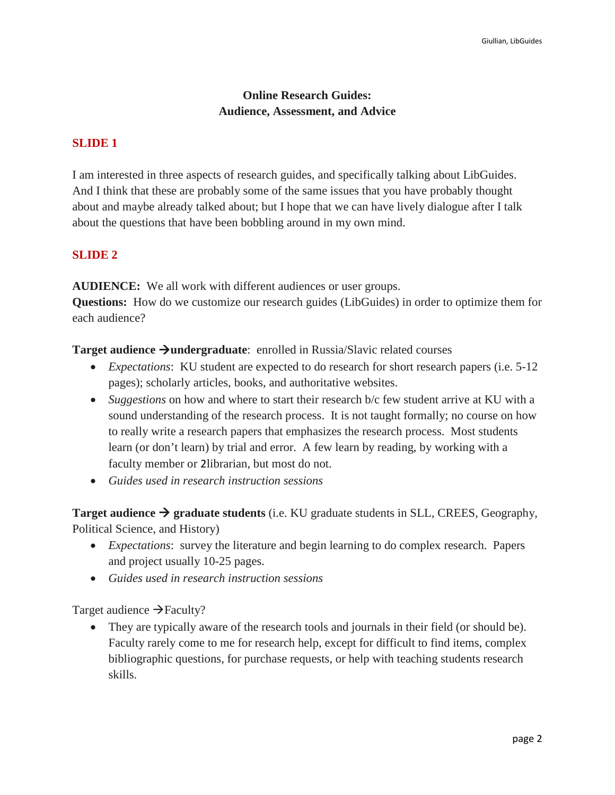# **Online Research Guides: Audience, Assessment, and Advice**

#### **SLIDE 1**

I am interested in three aspects of research guides, and specifically talking about LibGuides. And I think that these are probably some of the same issues that you have probably thought about and maybe already talked about; but I hope that we can have lively dialogue after I talk about the questions that have been bobbling around in my own mind.

#### **SLIDE 2**

**AUDIENCE:** We all work with different audiences or user groups. **Questions:** How do we customize our research guides (LibGuides) in order to optimize them for each audience?

**Target audience**  $\rightarrow$ **undergraduate**: enrolled in Russia/Slavic related courses

- *Expectations*: KU student are expected to do research for short research papers (i.e. 5-12) pages); scholarly articles, books, and authoritative websites.
- *Suggestions* on how and where to start their research b/c few student arrive at KU with a sound understanding of the research process. It is not taught formally; no course on how to really write a research papers that emphasizes the research process. Most students learn (or don't learn) by trial and error. A few learn by reading, by working with a faculty member or 2librarian, but most do not.
- *Guides used in research instruction sessions*

**Target audience**  $\rightarrow$  **graduate students** (i.e. KU graduate students in SLL, CREES, Geography, Political Science, and History)

- *Expectations*: survey the literature and begin learning to do complex research. Papers and project usually 10-25 pages.
- *Guides used in research instruction sessions*

Target audience  $\rightarrow$  Faculty?

• They are typically aware of the research tools and journals in their field (or should be). Faculty rarely come to me for research help, except for difficult to find items, complex bibliographic questions, for purchase requests, or help with teaching students research skills.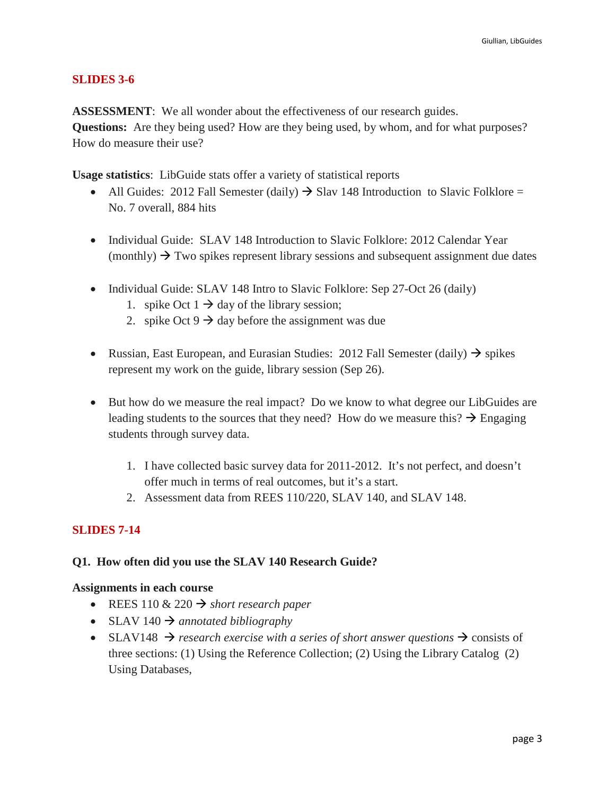## **SLIDES 3-6**

**ASSESSMENT**: We all wonder about the effectiveness of our research guides. **Questions:** Are they being used? How are they being used, by whom, and for what purposes? How do measure their use?

**Usage statistics**: LibGuide stats offer a variety of statistical reports

- All Guides: 2012 Fall Semester (daily)  $\rightarrow$  Slav 148 Introduction to Slavic Folklore = No. 7 overall, 884 hits
- Individual Guide: SLAV 148 Introduction to Slavic Folklore: 2012 Calendar Year (monthly)  $\rightarrow$  Two spikes represent library sessions and subsequent assignment due dates
- Individual Guide: SLAV 148 Intro to Slavic Folklore: Sep 27-Oct 26 (daily)
	- 1. spike Oct  $1 \rightarrow$  day of the library session;
	- 2. spike Oct  $9 \rightarrow$  day before the assignment was due
- Russian, East European, and Eurasian Studies: 2012 Fall Semester (daily)  $\rightarrow$  spikes represent my work on the guide, library session (Sep 26).
- But how do we measure the real impact? Do we know to what degree our LibGuides are leading students to the sources that they need? How do we measure this?  $\rightarrow$  Engaging students through survey data.
	- 1. I have collected basic survey data for 2011-2012. It's not perfect, and doesn't offer much in terms of real outcomes, but it's a start.
	- 2. Assessment data from REES 110/220, SLAV 140, and SLAV 148.

# **SLIDES 7-14**

## **Q1. How often did you use the SLAV 140 Research Guide?**

## **Assignments in each course**

- REES 110  $\&$  220  $\rightarrow$  *short research paper*
- SLAV 140  $\rightarrow$  annotated bibliography
- SLAV148  $\rightarrow$  research exercise with a series of short answer questions  $\rightarrow$  consists of three sections: (1) Using the Reference Collection; (2) Using the Library Catalog (2) Using Databases,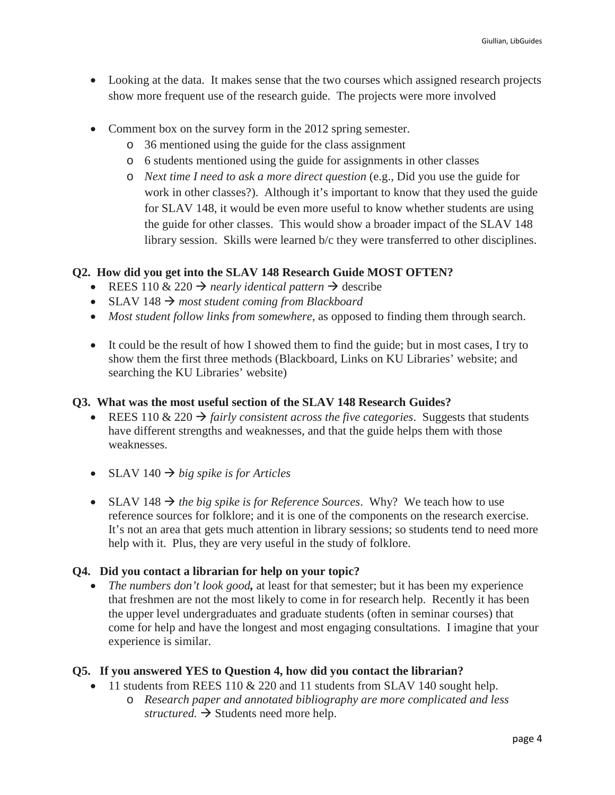- Looking at the data. It makes sense that the two courses which assigned research projects show more frequent use of the research guide. The projects were more involved
- Comment box on the survey form in the 2012 spring semester.
	- o 36 mentioned using the guide for the class assignment
	- o 6 students mentioned using the guide for assignments in other classes
	- o *Next time I need to ask a more direct question* (e.g., Did you use the guide for work in other classes?). Although it's important to know that they used the guide for SLAV 148, it would be even more useful to know whether students are using the guide for other classes. This would show a broader impact of the SLAV 148 library session. Skills were learned b/c they were transferred to other disciplines.

# **Q2. How did you get into the SLAV 148 Research Guide MOST OFTEN?**

- REES 110 & 220  $\rightarrow$  *nearly identical pattern*  $\rightarrow$  describe
- SLAV  $148 \rightarrow$  most student coming from Blackboard
- *Most student follow links from somewhere*, as opposed to finding them through search.
- It could be the result of how I showed them to find the guide; but in most cases, I try to show them the first three methods (Blackboard, Links on KU Libraries' website; and searching the KU Libraries' website)

# **Q3. What was the most useful section of the SLAV 148 Research Guides?**

- REES 110 & 220  $\rightarrow$  *fairly consistent across the five categories.* Suggests that students have different strengths and weaknesses, and that the guide helps them with those weaknesses.
- SLAV 140  $\rightarrow$  big spike is for Articles
- SLAV 148  $\rightarrow$  the big spike is for Reference Sources. Why? We teach how to use reference sources for folklore; and it is one of the components on the research exercise. It's not an area that gets much attention in library sessions; so students tend to need more help with it. Plus, they are very useful in the study of folklore.

# **Q4. Did you contact a librarian for help on your topic?**

• *The numbers don't look good*, at least for that semester; but it has been my experience that freshmen are not the most likely to come in for research help. Recently it has been the upper level undergraduates and graduate students (often in seminar courses) that come for help and have the longest and most engaging consultations. I imagine that your experience is similar.

# **Q5. If you answered YES to Question 4, how did you contact the librarian?**

- 11 students from REES 110 & 220 and 11 students from SLAV 140 sought help.
	- o *Research paper and annotated bibliography are more complicated and less structured.*  $\rightarrow$  Students need more help.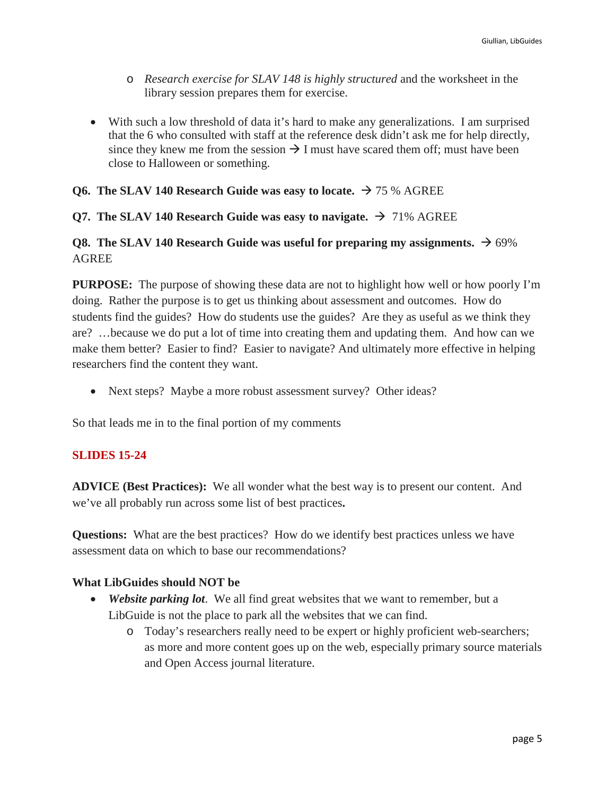- o *Research exercise for SLAV 148 is highly structured* and the worksheet in the library session prepares them for exercise.
- With such a low threshold of data it's hard to make any generalizations. I am surprised that the 6 who consulted with staff at the reference desk didn't ask me for help directly, since they knew me from the session  $\rightarrow$  I must have scared them off; must have been close to Halloween or something.

## **Q6. The SLAV 140 Research Guide was easy to locate.**  $\rightarrow$  75 % AGREE

## **Q7. The SLAV 140 Research Guide was easy to navigate.**  $\rightarrow$  71% AGREE

# **Q8.** The SLAV 140 Research Guide was useful for preparing my assignments.  $\rightarrow$  69% AGREE

**PURPOSE:** The purpose of showing these data are not to highlight how well or how poorly I'm doing. Rather the purpose is to get us thinking about assessment and outcomes. How do students find the guides? How do students use the guides? Are they as useful as we think they are? …because we do put a lot of time into creating them and updating them. And how can we make them better? Easier to find? Easier to navigate? And ultimately more effective in helping researchers find the content they want.

• Next steps? Maybe a more robust assessment survey? Other ideas?

So that leads me in to the final portion of my comments

## **SLIDES 15-24**

**ADVICE (Best Practices):** We all wonder what the best way is to present our content. And we've all probably run across some list of best practices**.** 

**Questions:** What are the best practices? How do we identify best practices unless we have assessment data on which to base our recommendations?

## **What LibGuides should NOT be**

- *Website parking lot.* We all find great websites that we want to remember, but a LibGuide is not the place to park all the websites that we can find.
	- o Today's researchers really need to be expert or highly proficient web-searchers; as more and more content goes up on the web, especially primary source materials and Open Access journal literature.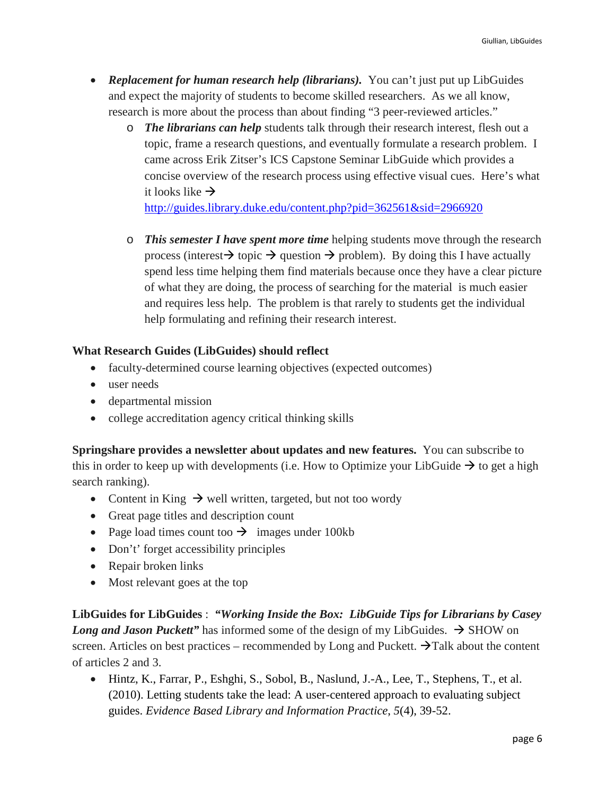- *Replacement for human research help (librarians).* You can't just put up LibGuides and expect the majority of students to become skilled researchers. As we all know, research is more about the process than about finding "3 peer-reviewed articles."
	- o *The librarians can help* students talk through their research interest, flesh out a topic, frame a research questions, and eventually formulate a research problem. I came across Erik Zitser's ICS Capstone Seminar LibGuide which provides a concise overview of the research process using effective visual cues. Here's what it looks like  $\rightarrow$

<http://guides.library.duke.edu/content.php?pid=362561&sid=2966920>

o *This semester I have spent more time* helping students move through the research process (interest  $\rightarrow$  topic  $\rightarrow$  question  $\rightarrow$  problem). By doing this I have actually spend less time helping them find materials because once they have a clear picture of what they are doing, the process of searching for the material is much easier and requires less help. The problem is that rarely to students get the individual help formulating and refining their research interest.

## **What Research Guides (LibGuides) should reflect**

- faculty-determined course learning objectives (expected outcomes)
- user needs
- departmental mission
- college accreditation agency critical thinking skills

**Springshare provides a newsletter about updates and new features.** You can subscribe to this in order to keep up with developments (i.e. How to Optimize your LibGuide  $\rightarrow$  to get a high search ranking).

- Content in King  $\rightarrow$  well written, targeted, but not too wordy
- Great page titles and description count
- Page load times count too  $\rightarrow$  images under 100kb
- Don't' forget accessibility principles
- Repair broken links
- Most relevant goes at the top

**LibGuides for LibGuides** : *"Working Inside the Box: LibGuide Tips for Librarians by Casey Long and Jason Puckett*" has informed some of the design of my LibGuides.  $\rightarrow$  SHOW on screen. Articles on best practices – recommended by Long and Puckett.  $\rightarrow$  Talk about the content of articles 2 and 3.

• Hintz, K., Farrar, P., Eshghi, S., Sobol, B., Naslund, J.-A., Lee, T., Stephens, T., et al. (2010). Letting students take the lead: A user-centered approach to evaluating subject guides. *Evidence Based Library and Information Practice*, *5*(4), 39-52.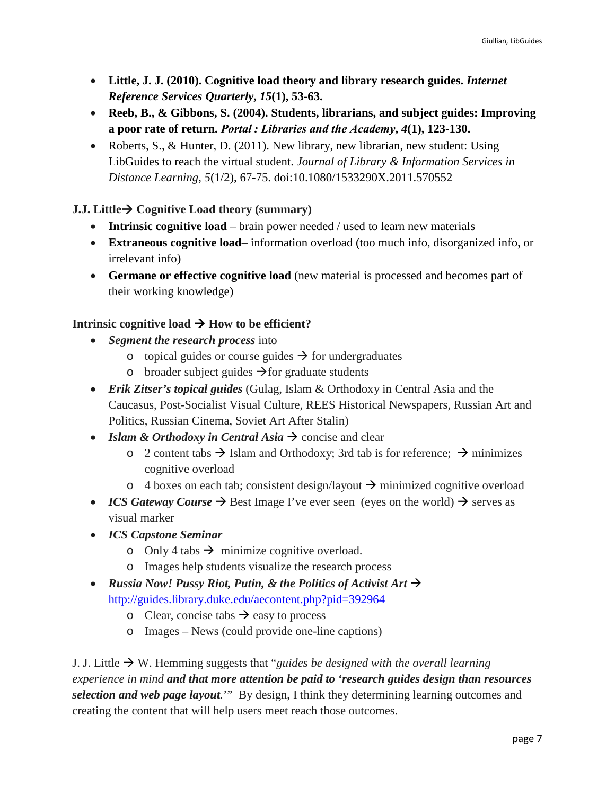- **Little, J. J. (2010). Cognitive load theory and library research guides.** *Internet Reference Services Quarterly***,** *15***(1), 53-63.**
- **Reeb, B., & Gibbons, S. (2004). Students, librarians, and subject guides: Improving a poor rate of return.** *Portal : Libraries and the Academy***,** *4***(1), 123-130.**
- Roberts, S., & Hunter, D. (2011). New library, new librarian, new student: Using LibGuides to reach the virtual student. *Journal of Library & Information Services in Distance Learning*, *5*(1/2), 67-75. doi:10.1080/1533290X.2011.570552

# **J.J. Little**  $\rightarrow$  Cognitive Load theory (summary)

- **Intrinsic cognitive load** brain power needed / used to learn new materials
- **Extraneous cognitive load** information overload (too much info, disorganized info, or irrelevant info)
- **Germane or effective cognitive load** (new material is processed and becomes part of their working knowledge)

# Intrinsic cognitive load  $\rightarrow$  How to be efficient?

- *Segment the research process* into
	- o topical guides or course guides  $\rightarrow$  for undergraduates
	- o broader subject guides  $\rightarrow$  for graduate students
- *Erik Zitser's topical guides* (Gulag, Islam & Orthodoxy in Central Asia and the Caucasus, Post-Socialist Visual Culture, REES Historical Newspapers, Russian Art and Politics, Russian Cinema, Soviet Art After Stalin)
- *Islam & Orthodoxy in Central Asia*  $\rightarrow$  concise and clear
	- $\circ$  2 content tabs  $\rightarrow$  Islam and Orthodoxy; 3rd tab is for reference;  $\rightarrow$  minimizes cognitive overload
	- $\circ$  4 boxes on each tab; consistent design/layout  $\rightarrow$  minimized cognitive overload
- *ICS Gateway Course*  $\rightarrow$  Best Image I've ever seen (eyes on the world)  $\rightarrow$  serves as visual marker
- *ICS Capstone Seminar*
	- o Only 4 tabs  $\rightarrow$  minimize cognitive overload.
	- o Images help students visualize the research process
- *Russia Now! Pussy Riot, Putin, & the Politics of Activist Art*  $\rightarrow$ <http://guides.library.duke.edu/aecontent.php?pid=392964>
	- o Clear, concise tabs  $\rightarrow$  easy to process
	- o Images News (could provide one-line captions)

J. J. Little  $\rightarrow$  W. Hemming suggests that "*guides be designed with the overall learning experience in mind and that more attention be paid to 'research guides design than resources selection and web page layout.*'" By design, I think they determining learning outcomes and creating the content that will help users meet reach those outcomes.